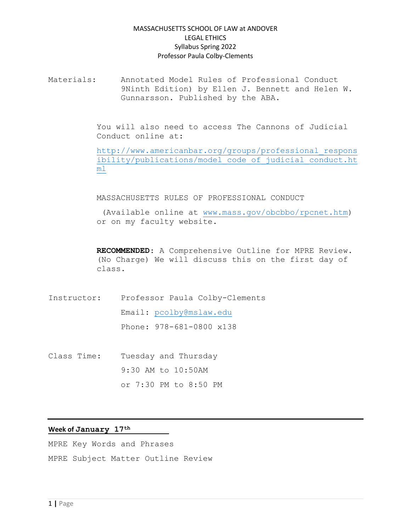Materials: Annotated Model Rules of Professional Conduct 9Ninth Edition) by Ellen J. Bennett and Helen W. Gunnarsson. Published by the ABA.

> You will also need to access The Cannons of Judicial Conduct online at:

[http://www.americanbar.org/groups/professional\\_respons](http://www.americanbar.org/groups/professional_responsibility/publications/model_code_of_judicial_conduct.html) [ibility/publications/model\\_code\\_of\\_judicial\\_conduct.ht](http://www.americanbar.org/groups/professional_responsibility/publications/model_code_of_judicial_conduct.html) [ml](http://www.americanbar.org/groups/professional_responsibility/publications/model_code_of_judicial_conduct.html)

#### MASSACHUSETTS RULES OF PROFESSIONAL CONDUCT

(Available online at [www.mass.gov/obcbbo/rpcnet.htm\)](http://www.mass.gov/obcbbo/rpcnet.htm) or on my faculty website.

**RECOMMENDED**: A Comprehensive Outline for MPRE Review. (No Charge) We will discuss this on the first day of class.

Instructor: Professor Paula Colby-Clements Email: [pcolby@mslaw.edu](mailto:pcolby@mslaw.edu) Phone: 978-681-0800 x138

Class Time: Tuesday and Thursday 9:30 AM to 10:50AM or 7:30 PM to 8:50 PM

### **Week of January 17th**

MPRE Key Words and Phrases MPRE Subject Matter Outline Review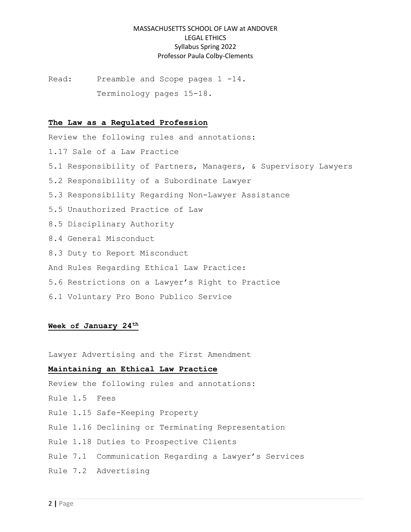Read: Preamble and Scope pages 1 -14. Terminology pages 15-18.

#### **The Law as a Regulated Profession**

Review the following rules and annotations: 1.17 Sale of a Law Practice 5.1 Responsibility of Partners, Managers, & Supervisory Lawyers 5.2 Responsibility of a Subordinate Lawyer 5.3 Responsibility Regarding Non-Lawyer Assistance 5.5 Unauthorized Practice of Law 8.5 Disciplinary Authority 8.4 General Misconduct 8.3 Duty to Report Misconduct And Rules Regarding Ethical Law Practice: 5.6 Restrictions on a Lawyer's Right to Practice 6.1 Voluntary Pro Bono Publico Service

#### **Week of January 24th**

Lawyer Advertising and the First Amendment

### **Maintaining an Ethical Law Practice**

Review the following rules and annotations:

- Rule 1.5 Fees
- Rule 1.15 Safe-Keeping Property
- Rule 1.16 Declining or Terminating Representation
- Rule 1.18 Duties to Prospective Clients
- Rule 7.1 Communication Regarding a Lawyer's Services
- Rule 7.2 Advertising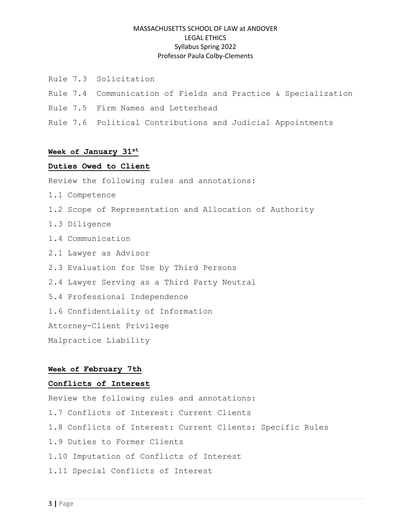- Rule 7.3 Solicitation
- Rule 7.4 Communication of Fields and Practice & Specialization
- Rule 7.5 Firm Names and Letterhead
- Rule 7.6 Political Contributions and Judicial Appointments

### **Week of January 31st**

#### **Duties Owed to Client**

Review the following rules and annotations:

- 1.1 Competence
- 1.2 Scope of Representation and Allocation of Authority
- 1.3 Diligence
- 1.4 Communication
- 2.1 Lawyer as Advisor
- 2.3 Evaluation for Use by Third Persons
- 2.4 Lawyer Serving as a Third Party Neutral
- 5.4 Professional Independence
- 1.6 Confidentiality of Information

Attorney-Client Privilege

Malpractice Liability

### **Week of February 7th**

#### **Conflicts of Interest**

Review the following rules and annotations: 1.7 Conflicts of Interest: Current Clients 1.8 Conflicts of Interest: Current Clients: Specific Rules 1.9 Duties to Former Clients 1.10 Imputation of Conflicts of Interest 1.11 Special Conflicts of Interest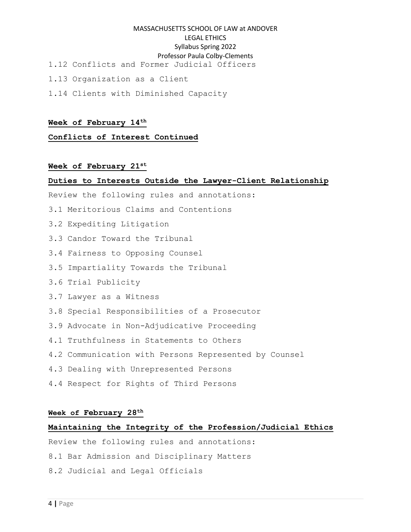- 1.12 Conflicts and Former Judicial Officers
- 1.13 Organization as a Client
- 1.14 Clients with Diminished Capacity

#### **Week of February 14th**

**Conflicts of Interest Continued**

## **Week of February 21st**

#### **Duties to Interests Outside the Lawyer-Client Relationship**

Review the following rules and annotations:

- 3.1 Meritorious Claims and Contentions
- 3.2 Expediting Litigation
- 3.3 Candor Toward the Tribunal
- 3.4 Fairness to Opposing Counsel
- 3.5 Impartiality Towards the Tribunal
- 3.6 Trial Publicity
- 3.7 Lawyer as a Witness
- 3.8 Special Responsibilities of a Prosecutor
- 3.9 Advocate in Non-Adjudicative Proceeding
- 4.1 Truthfulness in Statements to Others
- 4.2 Communication with Persons Represented by Counsel
- 4.3 Dealing with Unrepresented Persons
- 4.4 Respect for Rights of Third Persons

#### **Week of February 28th**

## **Maintaining the Integrity of the Profession/Judicial Ethics**

Review the following rules and annotations:

- 8.1 Bar Admission and Disciplinary Matters
- 8.2 Judicial and Legal Officials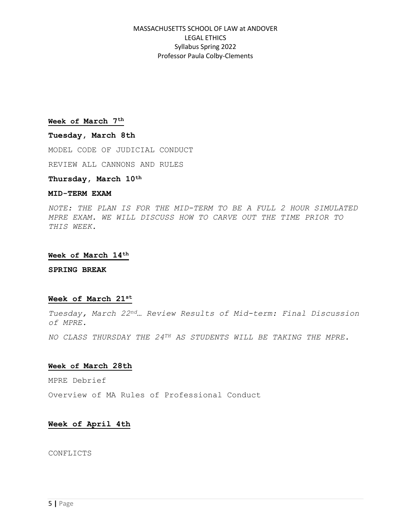#### **Week of March 7th**

#### **Tuesday, March 8th**

MODEL CODE OF JUDICIAL CONDUCT

REVIEW ALL CANNONS AND RULES

## **Thursday, March 10th**

#### **MID-TERM EXAM**

*NOTE: THE PLAN IS FOR THE MID-TERM TO BE A FULL 2 HOUR SIMULATED MPRE EXAM. WE WILL DISCUSS HOW TO CARVE OUT THE TIME PRIOR TO THIS WEEK.*

#### **Week of March 14th**

**SPRING BREAK**

#### **Week of March 21st**

*Tuesday, March 22nd… Review Results of Mid-term: Final Discussion of MPRE.*

*NO CLASS THURSDAY THE 24TH AS STUDENTS WILL BE TAKING THE MPRE.*

#### **Week of March 28th**

MPRE Debrief

Overview of MA Rules of Professional Conduct

#### **Week of April 4th**

CONFLICTS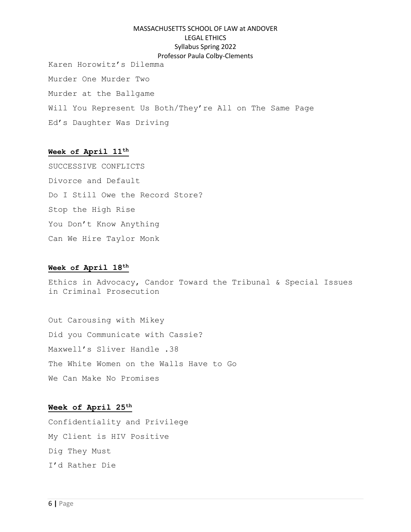Karen Horowitz's Dilemma Murder One Murder Two Murder at the Ballgame Will You Represent Us Both/They're All on The Same Page Ed's Daughter Was Driving

# **Week of April 11th**

SUCCESSIVE CONFLICTS Divorce and Default Do I Still Owe the Record Store? Stop the High Rise You Don't Know Anything Can We Hire Taylor Monk

### **Week of April 18th**

Ethics in Advocacy, Candor Toward the Tribunal & Special Issues in Criminal Prosecution

Out Carousing with Mikey Did you Communicate with Cassie? Maxwell's Sliver Handle .38 The White Women on the Walls Have to Go We Can Make No Promises

## **Week of April 25th**

Confidentiality and Privilege My Client is HIV Positive Dig They Must I'd Rather Die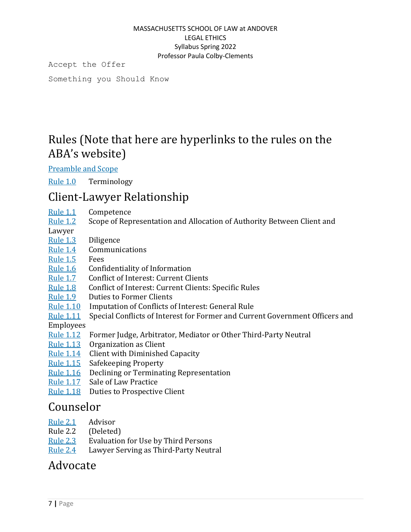Accept the Offer

Something you Should Know

# Rules (Note that here are hyperlinks to the rules on the ABA's website)

[Preamble](https://www.americanbar.org/groups/professional_responsibility/publications/model_rules_of_professional_conduct/model_rules_of_professional_conduct_preamble_scope/) and Scope

[Rule](https://www.americanbar.org/groups/professional_responsibility/publications/model_rules_of_professional_conduct/rule_1_0_terminology/) 1.0 Terminology

# Client-Lawyer Relationship

- [Rule](https://www.americanbar.org/groups/professional_responsibility/publications/model_rules_of_professional_conduct/rule_1_1_competence/) 1.1 Competence
- [Rule](https://www.americanbar.org/groups/professional_responsibility/publications/model_rules_of_professional_conduct/rule_1_2_scope_of_representation_allocation_of_authority_between_client_lawyer/) 1.2 Scope of Representation and Allocation of Authority Between Client and
- Lawyer
- [Rule](https://www.americanbar.org/groups/professional_responsibility/publications/model_rules_of_professional_conduct/rule_1_3_diligence/) 1.3 Diligence
- [Rule](https://www.americanbar.org/groups/professional_responsibility/publications/model_rules_of_professional_conduct/rule_1_4_communications/) 1.4 Communications
- [Rule](https://www.americanbar.org/groups/professional_responsibility/publications/model_rules_of_professional_conduct/rule_1_5_fees/) 1.5 Fees
- [Rule](https://www.americanbar.org/groups/professional_responsibility/publications/model_rules_of_professional_conduct/rule_1_6_confidentiality_of_information/) 1.6 Confidentiality of Information
- [Rule](https://www.americanbar.org/groups/professional_responsibility/publications/model_rules_of_professional_conduct/rule_1_7_conflict_of_interest_current_clients/) 1.7 Conflict of Interest: Current Clients
- [Rule](https://www.americanbar.org/groups/professional_responsibility/publications/model_rules_of_professional_conduct/rule_1_8_current_clients_specific_rules/) 1.8 Conflict of Interest: Current Clients: Specific Rules
- [Rule](https://www.americanbar.org/groups/professional_responsibility/publications/model_rules_of_professional_conduct/rule_1_9_duties_of_former_clients/) 1.9 Duties to Former Clients
- [Rule](https://www.americanbar.org/groups/professional_responsibility/publications/model_rules_of_professional_conduct/rule_1_10_imputation_of_conflicts_of_interest_general_rule/) 1.10 Imputation of Conflicts of Interest: General Rule
- [Rule](https://www.americanbar.org/groups/professional_responsibility/publications/model_rules_of_professional_conduct/rule_1_11_special_conflicts_of_interest_for_former_current_government_officers_employees/) 1.11 Special Conflicts of Interest for Former and Current Government Officers and
- Employees
- [Rule](https://www.americanbar.org/groups/professional_responsibility/publications/model_rules_of_professional_conduct/rule_1_12_former_judge_arbitrator_mediator_or_other_third_party_neutral/) 1.12 Former Judge, Arbitrator, Mediator or Other Third-Party Neutral
- [Rule](https://www.americanbar.org/groups/professional_responsibility/publications/model_rules_of_professional_conduct/rule_1_13_organization_as_client/) 1.13 Organization as Client
- [Rule](https://www.americanbar.org/groups/professional_responsibility/publications/model_rules_of_professional_conduct/rule_1_14_client_with_diminished_capacity/) 1.14 Client with Diminished Capacity
- [Rule](https://www.americanbar.org/groups/professional_responsibility/publications/model_rules_of_professional_conduct/rule_1_15_safekeeping_property/) 1.15 Safekeeping Property
- [Rule](https://www.americanbar.org/groups/professional_responsibility/publications/model_rules_of_professional_conduct/rule_1_16_declining_or_terminating_representation/) 1.16 Declining or Terminating Representation
- [Rule](https://www.americanbar.org/groups/professional_responsibility/publications/model_rules_of_professional_conduct/rule_1_17_sale_of_law_practice/) 1.17 Sale of Law Practice
- [Rule](https://www.americanbar.org/groups/professional_responsibility/publications/model_rules_of_professional_conduct/rule_1_18_duties_of_prospective_client/) 1.18 Duties to Prospective Client

# Counselor

- [Rule](https://www.americanbar.org/groups/professional_responsibility/publications/model_rules_of_professional_conduct/rule_2_1_advisor/) 2.1 Advisor
- Rule 2.2 (Deleted)
- [Rule](https://www.americanbar.org/groups/professional_responsibility/publications/model_rules_of_professional_conduct/rule_2_3_evaluation_for_use_by_third_persons/) 2.3 Evaluation for Use by Third Persons
- [Rule](https://www.americanbar.org/groups/professional_responsibility/publications/model_rules_of_professional_conduct/rule_2_4_lawyer_serving_as_third_party_neutral/) 2.4 Lawyer Serving as Third-Party Neutral

# Advocate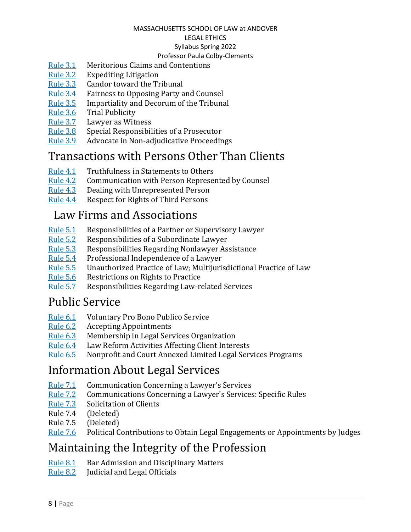## MASSACHUSETTS SCHOOL OF LAW at ANDOVER

# LEGAL ETHICS

# Syllabus Spring 2022

# Professor Paula Colby-Clements

- [Rule](https://www.americanbar.org/groups/professional_responsibility/publications/model_rules_of_professional_conduct/rule_3_1_meritorious_claims_contentions/) 3.1 Meritorious Claims and Contentions
- [Rule](https://www.americanbar.org/groups/professional_responsibility/publications/model_rules_of_professional_conduct/rule_3_2_expediting_litigation/) 3.2 Expediting Litigation
- [Rule](https://www.americanbar.org/groups/professional_responsibility/publications/model_rules_of_professional_conduct/rule_3_3_candor_toward_the_tribunal/) 3.3 Candor toward the Tribunal
- [Rule](https://www.americanbar.org/groups/professional_responsibility/publications/model_rules_of_professional_conduct/rule_3_4_fairness_to_opposing_party_counsel/) 3.4 Fairness to Opposing Party and Counsel
- [Rule](https://www.americanbar.org/groups/professional_responsibility/publications/model_rules_of_professional_conduct/rule_3_5_impartiality_decorum_of_the_tribunal/) 3.5 Impartiality and Decorum of the Tribunal
- [Rule](https://www.americanbar.org/groups/professional_responsibility/publications/model_rules_of_professional_conduct/rule_3_6_trial_publicity/) 3.6 Trial Publicity
- [Rule](https://www.americanbar.org/groups/professional_responsibility/publications/model_rules_of_professional_conduct/rule_3_7_lawyer_as_witness/) 3.7 Lawyer as Witness
- [Rule](https://www.americanbar.org/groups/professional_responsibility/publications/model_rules_of_professional_conduct/rule_3_8_special_responsibilities_of_a_prosecutor/) 3.8 Special Responsibilities of a Prosecutor
- [Rule](https://www.americanbar.org/groups/professional_responsibility/publications/model_rules_of_professional_conduct/rule_3_9_advocate_in_nonadjudicative_proceedings/) 3.9 Advocate in Non-adjudicative Proceedings

# Transactions with Persons Other Than Clients

- [Rule](https://www.americanbar.org/groups/professional_responsibility/publications/model_rules_of_professional_conduct/rule_4_1_truthfulness_in_statements_to_others/) 4.1 Truthfulness in Statements to Others
- [Rule](https://www.americanbar.org/groups/professional_responsibility/publications/model_rules_of_professional_conduct/rule_4_2_communication_with_person_represented_by_counsel/) 4.2 Communication with Person Represented by Counsel
- [Rule](https://www.americanbar.org/groups/professional_responsibility/publications/model_rules_of_professional_conduct/rule_4_3_dealing_with_unrepresented_person/) 4.3 Dealing with Unrepresented Person
- [Rule](https://www.americanbar.org/groups/professional_responsibility/publications/model_rules_of_professional_conduct/rule_4_4_respect_for_rights_of_third_persons/) 4.4 Respect for Rights of Third Persons

# Law Firms and Associations

- [Rule](https://www.americanbar.org/groups/professional_responsibility/publications/model_rules_of_professional_conduct/rule_5_1_responsibilities_of_a_partner_or_supervisory_lawyer/) 5.1 Responsibilities of a Partner or Supervisory Lawyer
- [Rule](https://www.americanbar.org/groups/professional_responsibility/publications/model_rules_of_professional_conduct/rule_5_2_responsibilities_of_a_subordinate_lawyer/) 5.2 Responsibilities of a Subordinate Lawyer
- [Rule](https://www.americanbar.org/groups/professional_responsibility/publications/model_rules_of_professional_conduct/rule_5_3_responsibilities_regarding_nonlawyer_assistant/) 5.3 Responsibilities Regarding Nonlawyer Assistance
- [Rule](https://www.americanbar.org/groups/professional_responsibility/publications/model_rules_of_professional_conduct/rule_5_4_professional_independence_of_a_lawyer/) 5.4 Professional Independence of a Lawyer
- [Rule](https://www.americanbar.org/groups/professional_responsibility/publications/model_rules_of_professional_conduct/rule_5_5_unauthorized_practice_of_law_multijurisdictional_practice_of_law/) 5.5 Unauthorized Practice of Law; Multijurisdictional Practice of Law
- [Rule](https://www.americanbar.org/groups/professional_responsibility/publications/model_rules_of_professional_conduct/rule_5_6_restrictions_on_rights_to_practice/) 5.6 Restrictions on Rights to Practice
- [Rule](https://www.americanbar.org/groups/professional_responsibility/publications/model_rules_of_professional_conduct/rule_5_7_responsibilities_regarding_law_related_services/) 5.7 Responsibilities Regarding Law-related Services

# Public Service

- [Rule](https://www.americanbar.org/groups/professional_responsibility/publications/model_rules_of_professional_conduct/rule_6_1_voluntary_pro_bono_publico_service/) 6.1 Voluntary Pro Bono Publico Service
- [Rule](https://www.americanbar.org/groups/professional_responsibility/publications/model_rules_of_professional_conduct/rule_6_2_accepting_appointments/) 6.2 Accepting Appointments
- [Rule](https://www.americanbar.org/groups/professional_responsibility/publications/model_rules_of_professional_conduct/rule_6_3_membership_in_legal_services_organization/) 6.3 Membership in Legal Services Organization
- [Rule](https://www.americanbar.org/groups/professional_responsibility/publications/model_rules_of_professional_conduct/rule_6_4_law_reform_activities_affecting_client_interests/) 6.4 Law Reform Activities Affecting Client Interests
- [Rule](https://www.americanbar.org/groups/professional_responsibility/publications/model_rules_of_professional_conduct/rule_6_5_nonprofit_court_annexed_limited_legal_services_programs/) 6.5 Nonprofit and Court Annexed Limited Legal Services Programs

# Information About Legal Services

- [Rule](https://www.americanbar.org/groups/professional_responsibility/publications/model_rules_of_professional_conduct/rule_7_1_communication_concerning_a_lawyer_s_services/) 7.1 Communication Concerning a Lawyer's Services
- [Rule](https://www.americanbar.org/groups/professional_responsibility/publications/model_rules_of_professional_conduct/rule_7_2_advertising/) 7.2 Communications Concerning a Lawyer's Services: Specific Rules
- [Rule](https://www.americanbar.org/groups/professional_responsibility/publications/model_rules_of_professional_conduct/rule_7_3_direct_contact_with_prospective_clients/) 7.3 Solicitation of Clients
- Rule 7.4 (Deleted)
- Rule 7.5 (Deleted)
- [Rule](https://www.americanbar.org/groups/professional_responsibility/publications/model_rules_of_professional_conduct/rule_7_6_political_contributions_to_obtain_legal_engagements_or_appointments_by_judges/) 7.6 Political Contributions to Obtain Legal Engagements or Appointments by Judges

# Maintaining the Integrity of the Profession

- [Rule](https://www.americanbar.org/groups/professional_responsibility/publications/model_rules_of_professional_conduct/rule_8_1_bar_admission_disciplinary_matters/) 8.1 Bar Admission and Disciplinary Matters
- [Rule](https://www.americanbar.org/groups/professional_responsibility/publications/model_rules_of_professional_conduct/rule_8_2_judicial_legal_officials/) 8.2 Judicial and Legal Officials